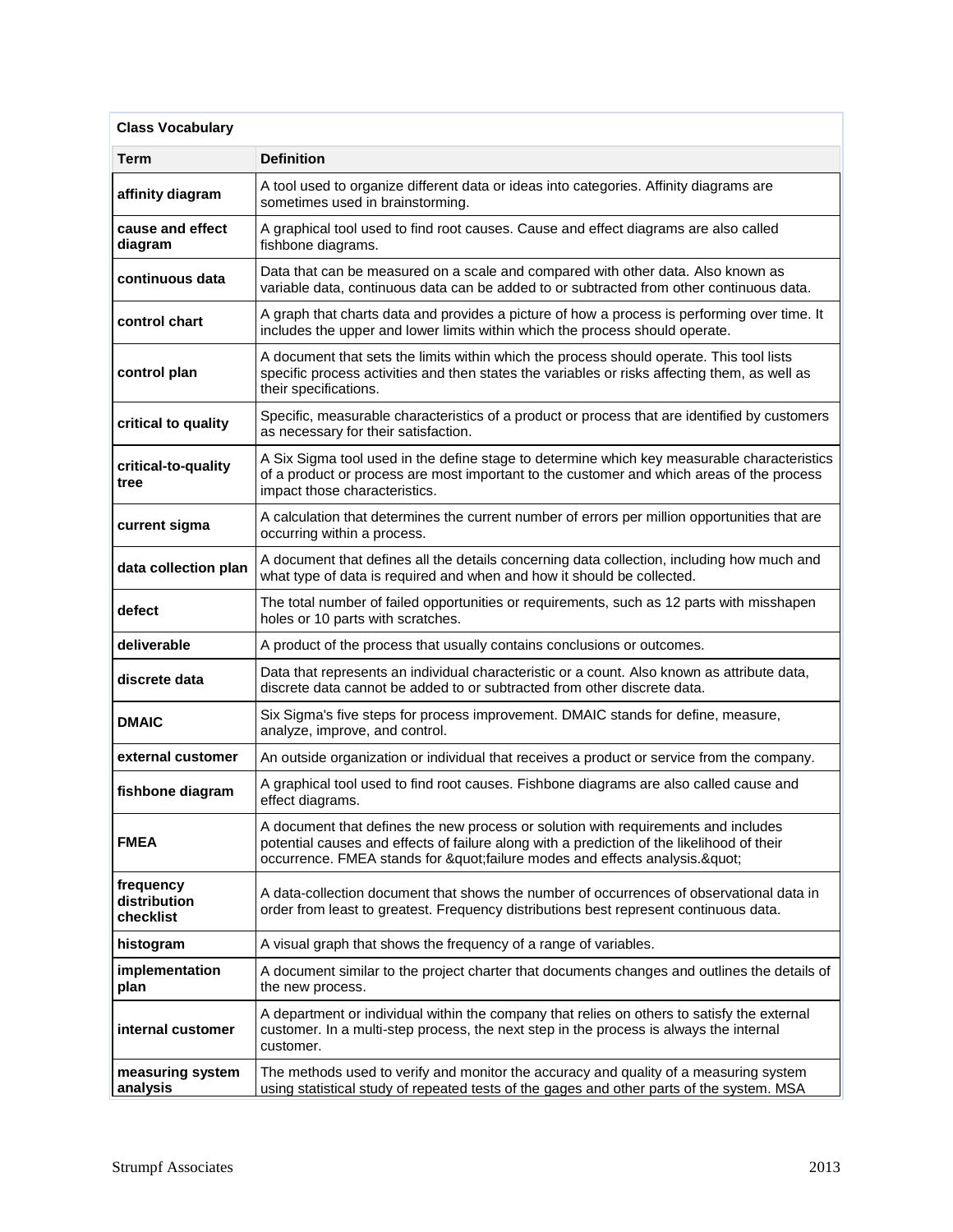| <b>Class Vocabulary</b>                |                                                                                                                                                                                                                                                       |
|----------------------------------------|-------------------------------------------------------------------------------------------------------------------------------------------------------------------------------------------------------------------------------------------------------|
| Term                                   | <b>Definition</b>                                                                                                                                                                                                                                     |
| affinity diagram                       | A tool used to organize different data or ideas into categories. Affinity diagrams are<br>sometimes used in brainstorming.                                                                                                                            |
| cause and effect<br>diagram            | A graphical tool used to find root causes. Cause and effect diagrams are also called<br>fishbone diagrams.                                                                                                                                            |
| continuous data                        | Data that can be measured on a scale and compared with other data. Also known as<br>variable data, continuous data can be added to or subtracted from other continuous data.                                                                          |
| control chart                          | A graph that charts data and provides a picture of how a process is performing over time. It<br>includes the upper and lower limits within which the process should operate.                                                                          |
| control plan                           | A document that sets the limits within which the process should operate. This tool lists<br>specific process activities and then states the variables or risks affecting them, as well as<br>their specifications.                                    |
| critical to quality                    | Specific, measurable characteristics of a product or process that are identified by customers<br>as necessary for their satisfaction.                                                                                                                 |
| critical-to-quality<br>tree            | A Six Sigma tool used in the define stage to determine which key measurable characteristics<br>of a product or process are most important to the customer and which areas of the process<br>impact those characteristics.                             |
| current sigma                          | A calculation that determines the current number of errors per million opportunities that are<br>occurring within a process.                                                                                                                          |
| data collection plan                   | A document that defines all the details concerning data collection, including how much and<br>what type of data is required and when and how it should be collected.                                                                                  |
| defect                                 | The total number of failed opportunities or requirements, such as 12 parts with misshapen<br>holes or 10 parts with scratches.                                                                                                                        |
| deliverable                            | A product of the process that usually contains conclusions or outcomes.                                                                                                                                                                               |
| discrete data                          | Data that represents an individual characteristic or a count. Also known as attribute data,<br>discrete data cannot be added to or subtracted from other discrete data.                                                                               |
| <b>DMAIC</b>                           | Six Sigma's five steps for process improvement. DMAIC stands for define, measure,<br>analyze, improve, and control.                                                                                                                                   |
| external customer                      | An outside organization or individual that receives a product or service from the company.                                                                                                                                                            |
| fishbone diagram                       | A graphical tool used to find root causes. Fishbone diagrams are also called cause and<br>effect diagrams.                                                                                                                                            |
| <b>FMEA</b>                            | A document that defines the new process or solution with requirements and includes<br>potential causes and effects of failure along with a prediction of the likelihood of their<br>occurrence. FMEA stands for "failure modes and effects analysis." |
| frequency<br>distribution<br>checklist | A data-collection document that shows the number of occurrences of observational data in<br>order from least to greatest. Frequency distributions best represent continuous data.                                                                     |
| histogram                              | A visual graph that shows the frequency of a range of variables.                                                                                                                                                                                      |
| implementation<br>plan                 | A document similar to the project charter that documents changes and outlines the details of<br>the new process.                                                                                                                                      |
| internal customer                      | A department or individual within the company that relies on others to satisfy the external<br>customer. In a multi-step process, the next step in the process is always the internal<br>customer.                                                    |
| measuring system<br>analysis           | The methods used to verify and monitor the accuracy and quality of a measuring system<br>using statistical study of repeated tests of the gages and other parts of the system. MSA                                                                    |